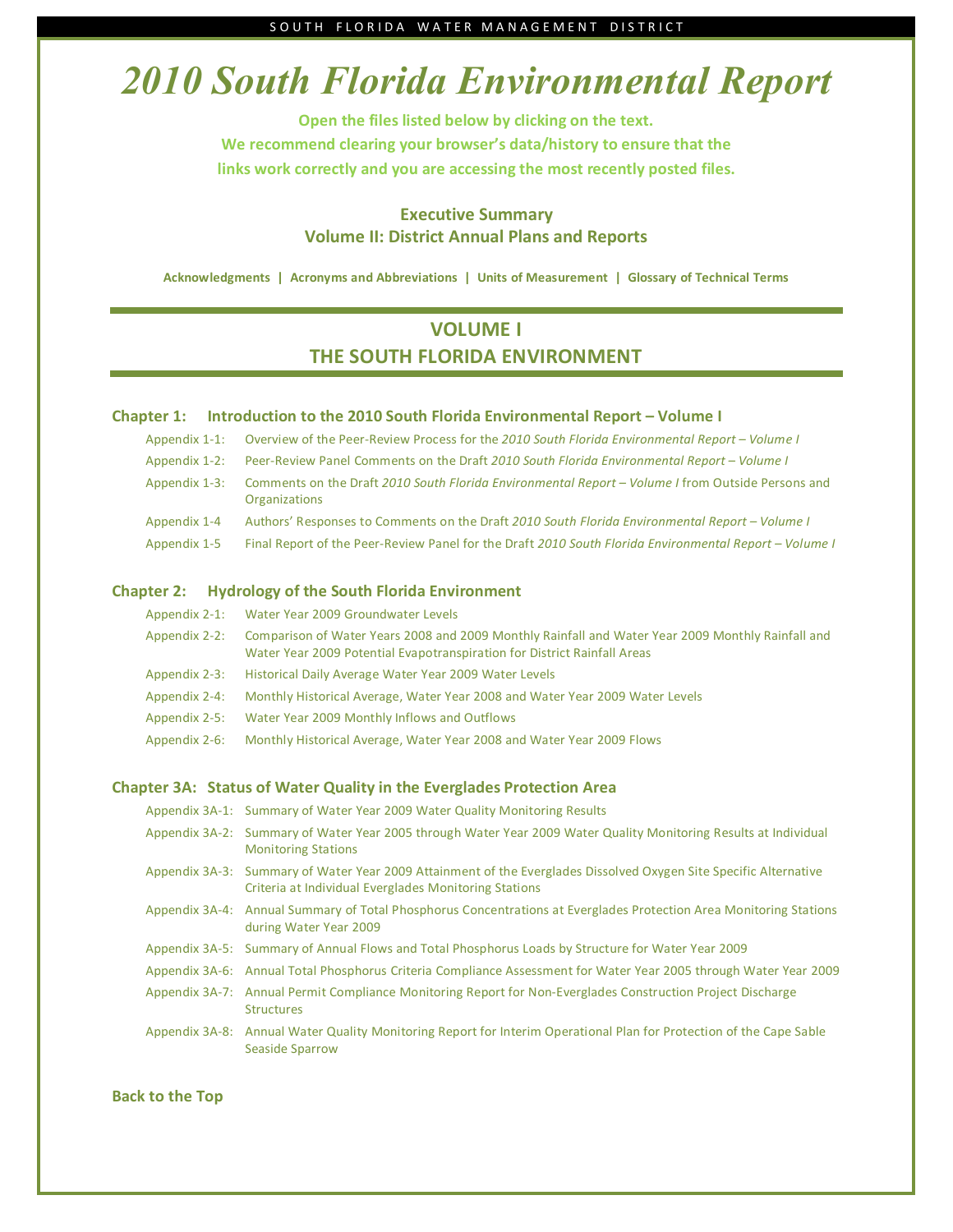## *2010 South Florida Environmental Report*

**Open the files listed below by clicking on the text.**

**We recommend clearing your browser's data/history to ensure that the** 

**links work correctly and you are accessing the most recently posted files.**

### **[Executive Summary](https://apps.sfwmd.gov/sfwmd/SFER/2010_SFER/executive_summary.pdf) [Volume II: District Annual Plans and Reports](https://apps.sfwmd.gov/sfwmd/SFER/2010_SFER/sfer_toc_v2.pdf)**

<span id="page-0-0"></span>**[Acknowledgments](https://apps.sfwmd.gov/sfwmd/SFER/2010_SFER/front_matter/01_Main_Acknowledgments.pdf) | [Acronyms and Abbreviations](https://apps.sfwmd.gov/sfwmd/SFER/2010_SFER/front_matter/02_Main_Acronyms&Abbrev.pdf) | [Units of Measurement](https://apps.sfwmd.gov/sfwmd/SFER/2010_SFER/front_matter/03_Main_UnitsofMeas.pdf) | [Glossary of Technical Terms](https://apps.sfwmd.gov/sfwmd/SFER/2010_SFER/front_matter/04_Main_Glossary.pdf)**

## **VOLUME I THE SOUTH FLORIDA ENVIRONMENT**

#### **Chapter 1: [Introduction to the 2010 South Florida Environmental Report –](https://apps.sfwmd.gov/sfwmd/SFER/2010_SFER/v1/chapters/v1_ch1.pdf) Volume I**

Appendix 1-1: [Overview of the Peer-Review Process for the](https://apps.sfwmd.gov/sfwmd/SFER/2010_SFER/v1/appendices/v1_app1-1.pdf) *2010 South Florida Environmental Report – Volume I* [Appendix 1-2: Peer-Review Panel Comments on the Draft](https://apps.sfwmd.gov/sfwmd/SFER/2010_SFER/v1/appendices/v1_app1-2.pdf) *2010 South Florida Environmental Report – Volume I* Appendix 1-3: Comments on the Draft *[2010 South Florida Environmental Report –](https://apps.sfwmd.gov/sfwmd/SFER/2010_SFER/v1/appendices/v1_app1-3.pdf) Volume I* from Outside Persons and **[Organizations](https://apps.sfwmd.gov/sfwmd/SFER/2010_SFER/v1/appendices/v1_app1-3.pdf)** Appendix 1-4 [Authors' Responses to Comments on the Draft](https://apps.sfwmd.gov/sfwmd/SFER/2010_SFER/v1/appendices/v1_app1-4.pdf) *2010 South Florida Environmental Report – Volume I* Appendix 1-5 [Final Report of the Peer-Review Panel for the Draft](https://apps.sfwmd.gov/sfwmd/SFER/2010_SFER/v1/appendices/v1_app1-5.pdf) *2010 South Florida Environmental Report – Volume I* **Chapter 2: [Hydrology of the South Florida Environment](https://apps.sfwmd.gov/sfwmd/SFER/2010_SFER/v1/chapters/v1_ch2.pdf)** Appendix 2-1: [Water Year 2009 Groundwater Levels](https://apps.sfwmd.gov/sfwmd/SFER/2010_SFER/v1/appendices/v1_app2-1.pdf) Appendix 2-2: [Comparison of Water Years 2008 and 2009 Monthly Rainfall and Water Year 2009 Monthly Rainfall and](https://apps.sfwmd.gov/sfwmd/SFER/2010_SFER/v1/appendices/v1_app2-2.pdf)  [Water Year 2009 Potential Evapotranspiration for District Rainfall Areas](https://apps.sfwmd.gov/sfwmd/SFER/2010_SFER/v1/appendices/v1_app2-2.pdf) [Appendix 2-3: Historical Daily Average Water Year 2009 Water Levels](https://apps.sfwmd.gov/sfwmd/SFER/2010_SFER/v1/appendices/v1_app2-3.pdf) Appendix 2-4: [Monthly Historical Average, Water Year 2008 and Water Year 2009](https://apps.sfwmd.gov/sfwmd/SFER/2010_SFER/v1/appendices/v1_app2-4.pdf) Water Levels Appendix 2-5: [Water Year 2009 Monthly Inflows and Outflows](https://apps.sfwmd.gov/sfwmd/SFER/2010_SFER/v1/appendices/v1_app2-5.pdf) [Appendix 2-6: Monthly Historical Average, Water Year 2008 and Water Year 2009 Flows](https://apps.sfwmd.gov/sfwmd/SFER/2010_SFER/v1/appendices/v1_app2-6.pdf)

#### **Chapter 3A: [Status of Water Quality in the Everglades Protection Area](https://apps.sfwmd.gov/sfwmd/SFER/2010_SFER/v1/chapters/v1_ch3a.pdf)**

| Appendix 3A-1: Summary of Water Year 2009 Water Quality Monitoring Results                                                                                                 |
|----------------------------------------------------------------------------------------------------------------------------------------------------------------------------|
| Appendix 3A-2: Summary of Water Year 2005 through Water Year 2009 Water Quality Monitoring Results at Individual<br><b>Monitoring Stations</b>                             |
| Appendix 3A-3: Summary of Water Year 2009 Attainment of the Everglades Dissolved Oxygen Site Specific Alternative<br>Criteria at Individual Everglades Monitoring Stations |
| Appendix 3A-4: Annual Summary of Total Phosphorus Concentrations at Everglades Protection Area Monitoring Stations<br>during Water Year 2009                               |
| Appendix 3A-5: Summary of Annual Flows and Total Phosphorus Loads by Structure for Water Year 2009                                                                         |
| Appendix 3A-6: Annual Total Phosphorus Criteria Compliance Assessment for Water Year 2005 through Water Year 2009                                                          |
| Appendix 3A-7: Annual Permit Compliance Monitoring Report for Non-Everglades Construction Project Discharge<br><b>Structures</b>                                           |
| Appendix 3A-8: Annual Water Quality Monitoring Report for Interim Operational Plan for Protection of the Cape Sable<br>Seaside Sparrow                                     |

#### **[Back to the Top](#page-0-0)**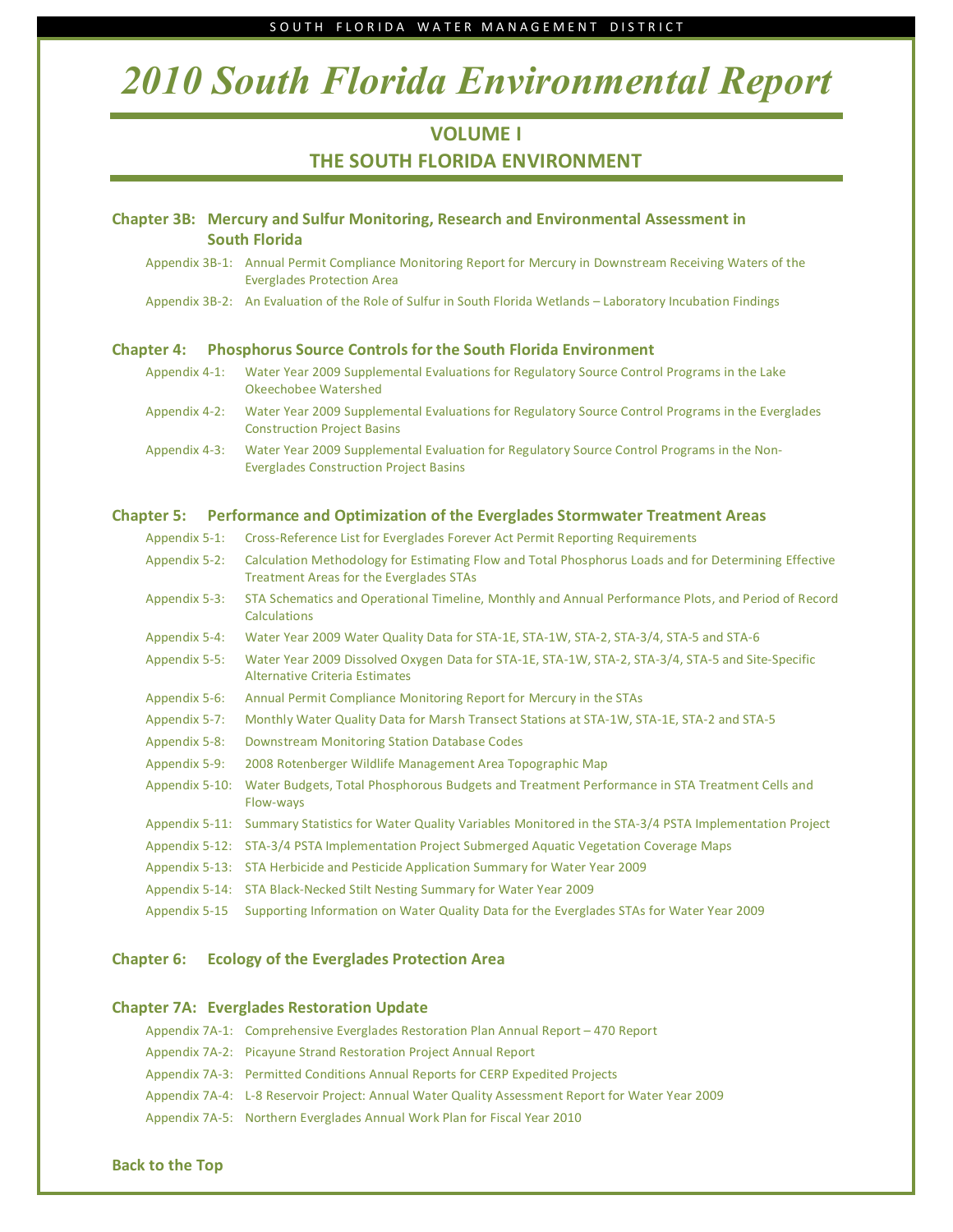# *2010 South Florida Environmental Report*

## **VOLUME I THE SOUTH FLORIDA ENVIRONMENT**

| Chapter 3B: Mercury and Sulfur Monitoring, Research and Environmental Assessment in<br><b>South Florida</b> |                                                                                                                                                        |  |
|-------------------------------------------------------------------------------------------------------------|--------------------------------------------------------------------------------------------------------------------------------------------------------|--|
|                                                                                                             | Appendix 3B-1: Annual Permit Compliance Monitoring Report for Mercury in Downstream Receiving Waters of the<br><b>Everglades Protection Area</b>       |  |
|                                                                                                             | Appendix 3B-2: An Evaluation of the Role of Sulfur in South Florida Wetlands - Laboratory Incubation Findings                                          |  |
| <b>Chapter 4:</b>                                                                                           | <b>Phosphorus Source Controls for the South Florida Environment</b>                                                                                    |  |
| Appendix 4-1:                                                                                               | Water Year 2009 Supplemental Evaluations for Regulatory Source Control Programs in the Lake<br>Okeechobee Watershed                                    |  |
| Appendix 4-2:                                                                                               | Water Year 2009 Supplemental Evaluations for Regulatory Source Control Programs in the Everglades<br><b>Construction Project Basins</b>                |  |
| Appendix 4-3:                                                                                               | Water Year 2009 Supplemental Evaluation for Regulatory Source Control Programs in the Non-<br><b>Everglades Construction Project Basins</b>            |  |
| <b>Chapter 5:</b>                                                                                           | Performance and Optimization of the Everglades Stormwater Treatment Areas                                                                              |  |
| Appendix 5-1:                                                                                               | Cross-Reference List for Everglades Forever Act Permit Reporting Requirements                                                                          |  |
| Appendix 5-2:                                                                                               | Calculation Methodology for Estimating Flow and Total Phosphorus Loads and for Determining Effective<br><b>Treatment Areas for the Everglades STAs</b> |  |
| Appendix 5-3:                                                                                               | STA Schematics and Operational Timeline, Monthly and Annual Performance Plots, and Period of Record<br>Calculations                                    |  |
| Appendix 5-4:                                                                                               | Water Year 2009 Water Quality Data for STA-1E, STA-1W, STA-2, STA-3/4, STA-5 and STA-6                                                                 |  |
| Appendix 5-5:                                                                                               | Water Year 2009 Dissolved Oxygen Data for STA-1E, STA-1W, STA-2, STA-3/4, STA-5 and Site-Specific<br><b>Alternative Criteria Estimates</b>             |  |
| Appendix 5-6:                                                                                               | Annual Permit Compliance Monitoring Report for Mercury in the STAs                                                                                     |  |
| Appendix 5-7:                                                                                               | Monthly Water Quality Data for Marsh Transect Stations at STA-1W, STA-1E, STA-2 and STA-5                                                              |  |
| Appendix 5-8:                                                                                               | <b>Downstream Monitoring Station Database Codes</b>                                                                                                    |  |
| Appendix 5-9:                                                                                               | 2008 Rotenberger Wildlife Management Area Topographic Map                                                                                              |  |
| Appendix 5-10:                                                                                              | Water Budgets, Total Phosphorous Budgets and Treatment Performance in STA Treatment Cells and<br>Flow-ways                                             |  |
| Appendix 5-11:                                                                                              | Summary Statistics for Water Quality Variables Monitored in the STA-3/4 PSTA Implementation Project                                                    |  |
| Appendix 5-12:                                                                                              | STA-3/4 PSTA Implementation Project Submerged Aquatic Vegetation Coverage Maps                                                                         |  |
| Appendix 5-13:                                                                                              | STA Herbicide and Pesticide Application Summary for Water Year 2009                                                                                    |  |
| Appendix 5-14:                                                                                              | STA Black-Necked Stilt Nesting Summary for Water Year 2009                                                                                             |  |
| Appendix 5-15                                                                                               | Supporting Information on Water Quality Data for the Everglades STAs for Water Year 2009                                                               |  |

## **[Chapter 6: Ecology of the Everglades Protection](https://apps.sfwmd.gov/sfwmd/SFER/2010_SFER/v1/chapters/v1_ch6.pdf) Area**

### **[Chapter 7A: Everglades Restoration Update](https://apps.sfwmd.gov/sfwmd/SFER/2010_SFER/v1/chapters/v1_ch7a.pdf)**

| Appendix 7A-1: Comprehensive Everglades Restoration Plan Annual Report – 470 Report              |
|--------------------------------------------------------------------------------------------------|
| Appendix 7A-2: Picayune Strand Restoration Project Annual Report                                 |
| Appendix 7A-3: Permitted Conditions Annual Reports for CERP Expedited Projects                   |
| Appendix 7A-4: L-8 Reservoir Project: Annual Water Quality Assessment Report for Water Year 2009 |
| Appendix 7A-5: Northern Everglades Annual Work Plan for Fiscal Year 2010                         |

### **[Back to the Top](#page-0-0)**